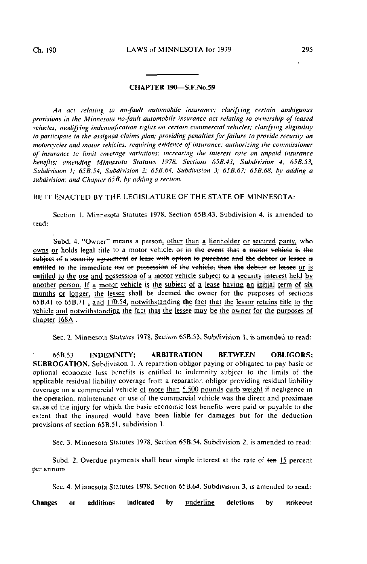## CHAPTER 190—S.F.No.59

An act relating to no-fault automobile insurance; clarifying certain ambiguous provisions in the Minnesota no-fault automobile insurance act relating to ownership of leased vehicles,- modifying indemnification rights on certain commercial vehicles; clarifying eligibility to participate in the assigned claims plan; providing penalties for failure to provide security on motorcvcles and motor vehicles; requiring evidence of insurance; authorizing the commissioner of insurance to limit coverage variations; increasing the interest rate on unpaid insurance benefits; amending Minnesota Statutes 1978, Sections 65B.43, Subdivision 4; 658.53, Subdivision I; 65B.54, Subdivision 2; 65B.64, Subdivision 3; 65B.67; 65B.68, by adding a subdivision; and Chapter  $65B$ , by adding a section.

BE IT ENACTED BY THE LEGISLATURE OF THE STATE OF MINNESOTA:

Section I. Minnesota Sialules 1978. Section 65B.43, Subdivision 4. is amended to read:

Subd. 4. "Owner" means a person, other than a lienholder or secured party, who owns or holds legal title to a motor vehicle, or in the event that a motor vehicle is the subject of a security agreement or lease with option to purchase and the debtor or lessee is entitled to the immediate use or possession of the vehicle; then the debtor or lessee or is entitled to the use and possession of a motor vehicle subject to a security interest held by another person. If a motor vehicle is the subject of a lease having an initial term of six months or longer, the lessee shall be deemed the owner for the purposes of sections  $\overline{65B.41}$  to  $\overline{65B.71}$ , and  $\overline{170.54}$ , notwithstanding the fact that the lessor retains title to the vehicle and notwithstanding the fact thai the lessee may be the owner for the purposes of chapter 168A.

Sec. 2. Minnesota Statutes 1978. Section 65B.53, Subdivision 1. is amended to read:

65B.53 INDEMNITY; ARBITRATION BETWEEN OBLIGORS; SUBROGATION. Subdivision 1. A reparation obligor paying or obligated to pay basic or optional economic loss benefits is entitled to indemnity subject to ihe limits of the applicable residual liability coverage from a reparation obligor providing residual liability coverage on a commercial vehicle of more than  $5,500$  pounds curb weight if negligence in the operation, maintenance or use of the commercial vehicle was the direct and proximate cause of the injury For which the basic economic loss benefits were paid or payable to the extent that ihe insured would have been liable for damages but for the deduction provisions of section 65B.5L subdivision I.

Sec. 3. Minnesota Statutes 1978, Section 65B.54. Subdivision 2, is amended to read:

Subd. 2. Overdue payments shall bear simple interest at the rate of ten 15 percent per annum.

Sec. 4. Minnesota Statutes 1978, Section 65B.64. Subdivision 3. is amended to read:

Changes or additions indicated by underline deletions by strikeout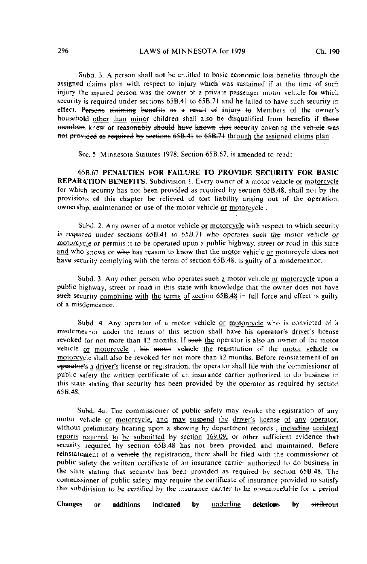Subd. 3. A person shall not be entitled to basic economic loss benefits through the assigned claims plan with respect to injury which was sustained if at the time of such injury the injured person was the owner of a private passenger motor vehicle for which security is required under sections 65B.41 to 65B.71 and he failed to have such security in effect. Persons claiming benefits as a result of injury to Members of the owner's household other than minor children shall also be disqualified from benefits if those members knew or reasonably should have known that security covering the vehicle was not provided as required by sections 65B.41 to 65B.71 through the assigned claims plan.

Sec. 5. Minnesota Statutes 1978, Section 65B.67, is amended to read:

65B.67 PENALTIES FOR FAILURE TO PROVIDE SECURITY FOR BASIC REPARATION BENEFITS. Subdivision I. Every owner of a motor vehicle or motorcycle for which security has not been provided as required by section 65B.48, shall not by the provisions of this chapter be relieved of tort liability arising out of the operation, ownership, maintenance or use of the motor vehicle or motorcycle .

Subd. 2. Any owner of a motor vehicle or motorcycle with respect to which security is required under sections  $65B.41$  to  $65B.71$  who operates such the motor vehicle or motorcycle or permits it to be operated upon a public highway, street or road in this state and who knows or who has reason to know that the motor vehicle or motorcycle does not have security complying with the terms of section 65B.48, is guilty of a misdemeanor.

Subd. 3. Any other person who operates such a motor vehicle or motorcycle upon a public highway, street or road in this state with knowledge that the owner does not have such security complying with the terms of section 65B.48 in full force and effect is guilty of a misdemeanor.

Subd. 4. Any operator of a motor vehicle or motorcycle who is convicted of a misdemeanor under the terms of this section shall have his operator's driver's license revoked for not more than 12 months. If such the operator is also an owner of the motor vehicle or motorcycle . his motor vehicle the registration of the motor vehicle or motorcycle shall also be revoked for not more than 12 months. Before reinstatement of an operator's a driver's license or registration, the operator shall file with the commissioner of public safety the written certificate of an insurance carrier authorized to do business in this state stating that security has been provided by the operator as required by section 65B.48,

Subd. 4a. The commissioner of public safety may revoke ihe registration of any motor vehicle or motorcycle, and may suspend the driver's license of any operator, without preliminary hearing upon a showing by department records , including accident reports required to be submitted by section 169.09, or other sufficient evidence that security required by section 65B.48 has not been provided and maintained. Before reinstalement of a vehicle the registration, there shall be filed with the commissioner of public safely the written certificate of an insurance carrier authorized to do business in the state stating that security has been provided as required by section 65B.48. The commissioner of public safety may require the certificate of insurance provided to satisfy this subdivision to be certified by the insurance carrier to be noncancelable for a period

Changes or additions indicated by <u>underline</u> deletions by <del>strikeou</del>t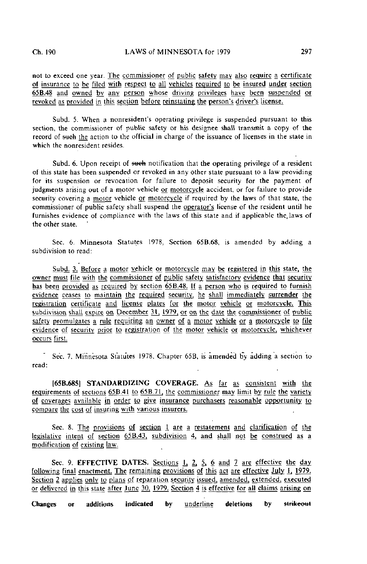not to exceed one year. The commissioner of public safety may also require a certificate of insurance to be filed with respect to all vehicles required to be insured under section 65B.48 and owned by any person whose driving privileges have been suspended or revoked as provided in this section before reinstating the person's driver's license.

Subd. 5. When a nonresident's operating privilege is suspended pursuant to this section, the commissioner of public safety or his designee shall transmit a copy of the record of such the action to the official in charge of the issuance of licenses in the state in which the nonresident resides.

Subd. 6. Upon receipt of such notification that the operating privilege of a resident of this state has been suspended or revoked in any other state pursuant to a law providing for its suspension or revocation for failure to deposit security for the payment of judgments arising out of a motor vehicle or motorcycle accident, or for failure to provide security covering a motor vehicle or motorcycle if required by the laws of that state, the commissioner of public safety shall suspend the operator's license of the resident until he furnishes evidence of compliance with the laws of this state and if applicable the, laws of the other state.

Sec. 6. Minnesota Statutes 1978, Section 65B.68, is amended by adding a subdivision to read:

Subd. 3. Before a motor vehicle or motorcycle may be registered in this state, the owner must file with the commissioner of public safety satisfactory evidence that security has been provided as required by section 65B.48. If a person who is required to furnish evidence ceases to maintain the required security, he shall immediately surrender the registration certificate and license plates for the motor vehicle or motorcycle. This subdivision shall expire on December 31, 1979, or on the date the commissioner of public safety promulgates a ruje requiring an owner of a motor vehicle or a motorcycle to file evidence of security prior to registration of the motor vehicle or motorcycle, whichever occurs first.

Sec. 7. Minnesota Statutes 1978, Chapter 65B, is amended by adding a section to read:

|65B.685| STANDARDIZING COVERAGE. As far as consistent with the requirements of sections  $65B.41$  to  $65B.71$ , the commissioner may limit by rule the variety of coverages available in order to give insurance purchasers reasonable opportunity to compare the cost of insuring with various insurers.

Sec. 8. The provisions of section 1 are a restatement and clarification of the legislative intent of section  $65B.43$ , subdivision 4, and shall not be construed as a modification of existing law.

Sec. 9. EFFECTIVE DATES. Sections 1, 2, 5, 6 and 7 are effective the day following final enactment. The remaining provisions of this act are effective July 1, 1979. Section 2 applies only to plans of reparation security issued, amended, extended, executed or delivered in this state after June 30, 1979. Section 4 is effective for all claims arising on

Changes or additions indicated by underline deletions by strikeout